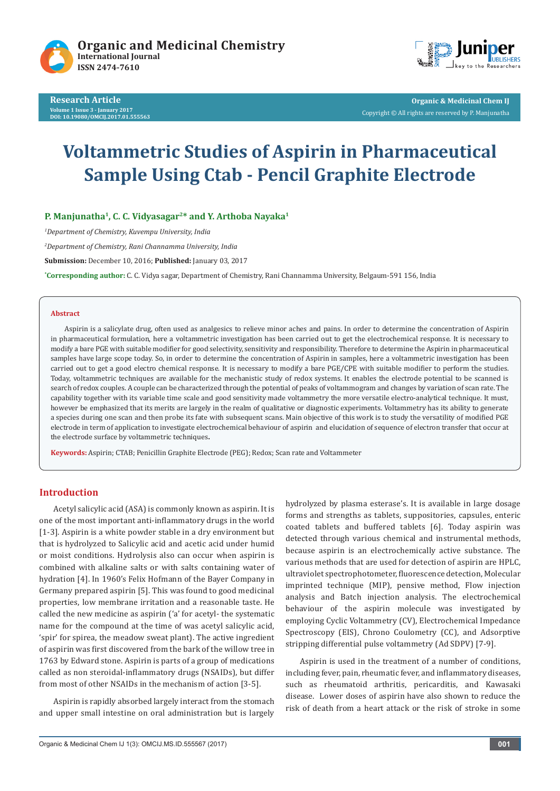





**Organic & Medicinal Chem IJ** Copyright © All rights are reserved by P. Manjunatha

# **Voltammetric Studies of Aspirin in Pharmaceutical Sample Using Ctab - Pencil Graphite Electrode**

**P. Manjunatha1, C. C. Vidyasagar2\* and Y. Arthoba Nayaka1**

*1 Department of Chemistry, Kuvempu University, India*

*2 Department of Chemistry, Rani Channamma University, India*

**Submission:** December 10, 2016; **Published:** January 03, 2017

**\* Corresponding author:** C. C. Vidya sagar, Department of Chemistry, Rani Channamma University, Belgaum-591 156, India

#### **Abstract**

Aspirin is a salicylate drug, often used as analgesics to relieve minor aches and pains. In order to determine the concentration of Aspirin in pharmaceutical formulation, here a voltammetric investigation has been carried out to get the electrochemical response. It is necessary to modify a bare PGE with suitable modifier for good selectivity, sensitivity and responsibility. Therefore to determine the Aspirin in pharmaceutical samples have large scope today. So, in order to determine the concentration of Aspirin in samples, here a voltammetric investigation has been carried out to get a good electro chemical response. It is necessary to modify a bare PGE/CPE with suitable modifier to perform the studies. Today, voltammetric techniques are available for the mechanistic study of redox systems. It enables the electrode potential to be scanned is search of redox couples. A couple can be characterized through the potential of peaks of voltammogram and changes by variation of scan rate. The capability together with its variable time scale and good sensitivity made voltammetry the more versatile electro-analytical technique. It must, however be emphasized that its merits are largely in the realm of qualitative or diagnostic experiments. Voltammetry has its ability to generate a species during one scan and then probe its fate with subsequent scans. Main objective of this work is to study the versatility of modified PGE electrode in term of application to investigate electrochemical behaviour of aspirin and elucidation of sequence of electron transfer that occur at the electrode surface by voltammetric techniques**.**

**Keywords:** Aspirin; CTAB; Penicillin Graphite Electrode (PEG); Redox; Scan rate and Voltammeter

#### **Introduction**

Acetyl salicylic acid (ASA) is commonly known as aspirin. It is one of the most important anti-inflammatory drugs in the world [1-3]. Aspirin is a white powder stable in a dry environment but that is hydrolyzed to Salicylic acid and acetic acid under humid or moist conditions. Hydrolysis also can occur when aspirin is combined with alkaline salts or with salts containing water of hydration [4]. In 1960's Felix Hofmann of the Bayer Company in Germany prepared aspirin [5]. This was found to good medicinal properties, low membrane irritation and a reasonable taste. He called the new medicine as aspirin ('a' for acetyl- the systematic name for the compound at the time of was acetyl salicylic acid, 'spir' for spirea, the meadow sweat plant). The active ingredient of aspirin was first discovered from the bark of the willow tree in 1763 by Edward stone. Aspirin is parts of a group of medications called as non steroidal-inflammatory drugs (NSAIDs), but differ from most of other NSAIDs in the mechanism of action [3-5].

Aspirin is rapidly absorbed largely interact from the stomach and upper small intestine on oral administration but is largely

hydrolyzed by plasma esterase's. It is available in large dosage forms and strengths as tablets, suppositories, capsules, enteric coated tablets and buffered tablets [6]. Today aspirin was detected through various chemical and instrumental methods, because aspirin is an electrochemically active substance. The various methods that are used for detection of aspirin are HPLC, ultraviolet spectrophotometer, fluorescence detection, Molecular imprinted technique (MIP), pensive method, Flow injection analysis and Batch injection analysis. The electrochemical behaviour of the aspirin molecule was investigated by employing Cyclic Voltammetry (CV), Electrochemical Impedance Spectroscopy (EIS), Chrono Coulometry (CC), and Adsorptive stripping differential pulse voltammetry (Ad SDPV) [7-9].

Aspirin is used in the treatment of a number of conditions, including fever, pain, rheumatic fever, and inflammatory diseases, such as rheumatoid arthritis, pericarditis, and Kawasaki disease. Lower doses of aspirin have also shown to reduce the risk of death from a heart attack or the risk of stroke in some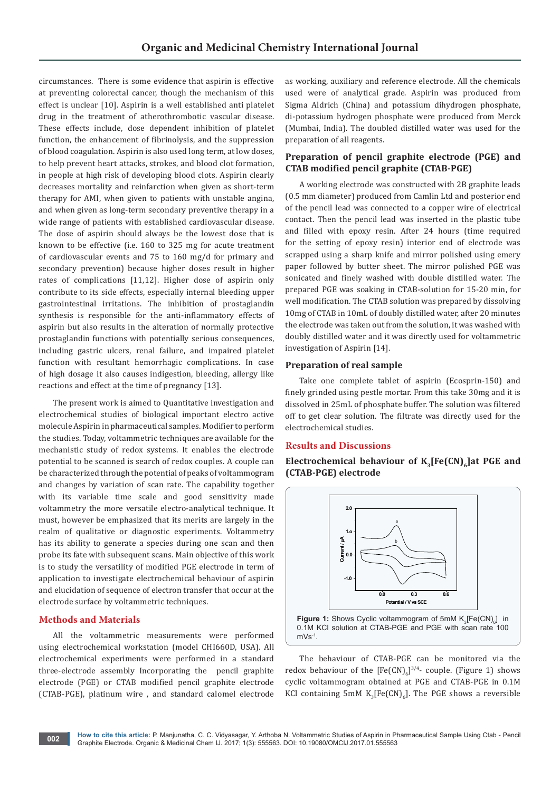circumstances. There is some evidence that aspirin is effective at preventing colorectal cancer, though the mechanism of this effect is unclear [10]. Aspirin is a well established anti platelet drug in the treatment of atherothrombotic vascular disease. These effects include, dose dependent inhibition of platelet function, the enhancement of fibrinolysis, and the suppression of blood coagulation. Aspirin is also used long term, at low doses, to help prevent heart attacks, strokes, and blood clot formation, in people at high risk of developing blood clots. Aspirin clearly decreases mortality and reinfarction when given as short-term therapy for AMI, when given to patients with unstable angina, and when given as long-term secondary preventive therapy in a wide range of patients with established cardiovascular disease. The dose of aspirin should always be the lowest dose that is known to be effective (i.e. 160 to 325 mg for acute treatment of cardiovascular events and 75 to 160 mg/d for primary and secondary prevention) because higher doses result in higher rates of complications [11,12]. Higher dose of aspirin only contribute to its side effects, especially internal bleeding upper gastrointestinal irritations. The inhibition of prostaglandin synthesis is responsible for the anti-inflammatory effects of aspirin but also results in the alteration of normally protective prostaglandin functions with potentially serious consequences, including gastric ulcers, renal failure, and impaired platelet function with resultant hemorrhagic complications. In case of high dosage it also causes indigestion, bleeding, allergy like reactions and effect at the time of pregnancy [13].

The present work is aimed to Quantitative investigation and electrochemical studies of biological important electro active molecule Aspirin in pharmaceutical samples. Modifier to perform the studies. Today, voltammetric techniques are available for the mechanistic study of redox systems. It enables the electrode potential to be scanned is search of redox couples. A couple can be characterized through the potential of peaks of voltammogram and changes by variation of scan rate. The capability together with its variable time scale and good sensitivity made voltammetry the more versatile electro-analytical technique. It must, however be emphasized that its merits are largely in the realm of qualitative or diagnostic experiments. Voltammetry has its ability to generate a species during one scan and then probe its fate with subsequent scans. Main objective of this work is to study the versatility of modified PGE electrode in term of application to investigate electrochemical behaviour of aspirin and elucidation of sequence of electron transfer that occur at the electrode surface by voltammetric techniques.

# **Methods and Materials**

All the voltammetric measurements were performed using electrochemical workstation (model CHI660D, USA). All electrochemical experiments were performed in a standard three-electrode assembly Incorporating the pencil graphite electrode (PGE) or CTAB modified pencil graphite electrode (CTAB-PGE), platinum wire , and standard calomel electrode

as working, auxiliary and reference electrode. All the chemicals used were of analytical grade. Aspirin was produced from Sigma Aldrich (China) and potassium dihydrogen phosphate, di-potassium hydrogen phosphate were produced from Merck (Mumbai, India). The doubled distilled water was used for the preparation of all reagents.

# **Preparation of pencil graphite electrode (PGE) and CTAB modified pencil graphite (CTAB-PGE)**

A working electrode was constructed with 2B graphite leads (0.5 mm diameter) produced from Camlin Ltd and posterior end of the pencil lead was connected to a copper wire of electrical contact. Then the pencil lead was inserted in the plastic tube and filled with epoxy resin. After 24 hours (time required for the setting of epoxy resin) interior end of electrode was scrapped using a sharp knife and mirror polished using emery paper followed by butter sheet. The mirror polished PGE was sonicated and finely washed with double distilled water. The prepared PGE was soaking in CTAB-solution for 15-20 min, for well modification. The CTAB solution was prepared by dissolving 10mg of CTAB in 10mL of doubly distilled water, after 20 minutes the electrode was taken out from the solution, it was washed with doubly distilled water and it was directly used for voltammetric investigation of Aspirin [14].

#### **Preparation of real sample**

Take one complete tablet of aspirin (Ecosprin-150) and finely grinded using pestle mortar. From this take 30mg and it is dissolved in 25mL of phosphate buffer. The solution was filtered off to get clear solution. The filtrate was directly used for the electrochemical studies.

# **Results and Discussions**

Electrochemical behaviour of K<sub>3</sub>[Fe(CN)<sub>6</sub>]at PGE and **(CTAB-PGE) electrode**



The behaviour of CTAB-PGE can be monitored via the redox behaviour of the  $[Fe(CN)_6]^{3/4}$ - couple. (Figure 1) shows cyclic voltammogram obtained at PGE and CTAB-PGE in 0.1M KCI containing 5mM  $K_3[Fe(CN)_6]$ . The PGE shows a reversible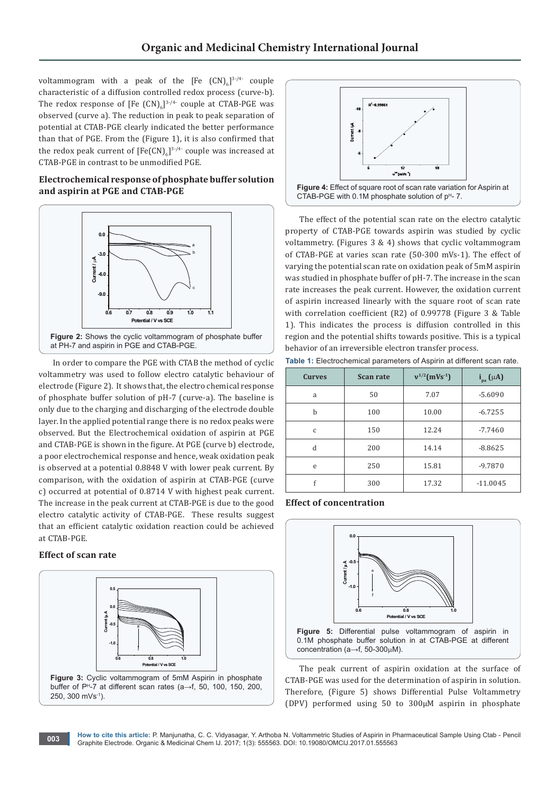voltammogram with a peak of the  $[Fe~(CN)_6]^{3/4}$  couple characteristic of a diffusion controlled redox process (curve-b). The redox response of [Fe  $(CN)_{6}]^{3/4}$  couple at CTAB-PGE was observed (curve a). The reduction in peak to peak separation of potential at CTAB-PGE clearly indicated the better performance than that of PGE. From the (Figure 1), it is also confirmed that the redox peak current of  $[{\rm Fe(CN)}_6]^{3\cdot 4}$  couple was increased at CTAB-PGE in contrast to be unmodified PGE.

# **Electrochemical response of phosphate buffer solution and aspirin at PGE and CTAB-PGE**



In order to compare the PGE with CTAB the method of cyclic voltammetry was used to follow electro catalytic behaviour of electrode (Figure 2). It shows that, the electro chemical response of phosphate buffer solution of pH-7 (curve-a). The baseline is only due to the charging and discharging of the electrode double layer. In the applied potential range there is no redox peaks were observed. But the Electrochemical oxidation of aspirin at PGE and CTAB-PGE is shown in the figure. At PGE (curve b) electrode, a poor electrochemical response and hence, weak oxidation peak is observed at a potential 0.8848 V with lower peak current. By comparison, with the oxidation of aspirin at CTAB-PGE (curve c) occurred at potential of 0.8714 V with highest peak current. The increase in the peak current at CTAB-PGE is due to the good electro catalytic activity of CTAB-PGE. These results suggest that an efficient catalytic oxidation reaction could be achieved at CTAB-PGE.

# **Effect of scan rate**





The effect of the potential scan rate on the electro catalytic property of CTAB-PGE towards aspirin was studied by cyclic voltammetry. (Figures 3 & 4) shows that cyclic voltammogram of CTAB-PGE at varies scan rate (50-300 mVs-1). The effect of varying the potential scan rate on oxidation peak of 5mM aspirin was studied in phosphate buffer of pH-7. The increase in the scan rate increases the peak current. However, the oxidation current of aspirin increased linearly with the square root of scan rate with correlation coefficient (R2) of 0.99778 (Figure 3 & Table 1). This indicates the process is diffusion controlled in this region and the potential shifts towards positive. This is a typical behavior of an irreversible electron transfer process.

**Table 1:** Electrochemical parameters of Aspirin at different scan rate.

| <b>Curves</b> | <b>Scan rate</b> | $v^{1/2}$ (mVs <sup>-1</sup> ) | $i_{pa}(\mu A)$ |
|---------------|------------------|--------------------------------|-----------------|
| a             | 50               | 7.07                           | $-5.6090$       |
| b             | 100              | 10.00                          | $-6.7255$       |
| $\mathsf{C}$  | 150              | 12.24                          | $-7.7460$       |
| d             | 200              | 14.14                          | $-8.8625$       |
| e             | 250              | 15.81                          | $-9.7870$       |
| f             | 300              | 17.32                          | $-11.0045$      |

**Effect of concentration**



The peak current of aspirin oxidation at the surface of CTAB-PGE was used for the determination of aspirin in solution. Therefore, (Figure 5) shows Differential Pulse Voltammetry (DPV) performed using 50 to 300µM aspirin in phosphate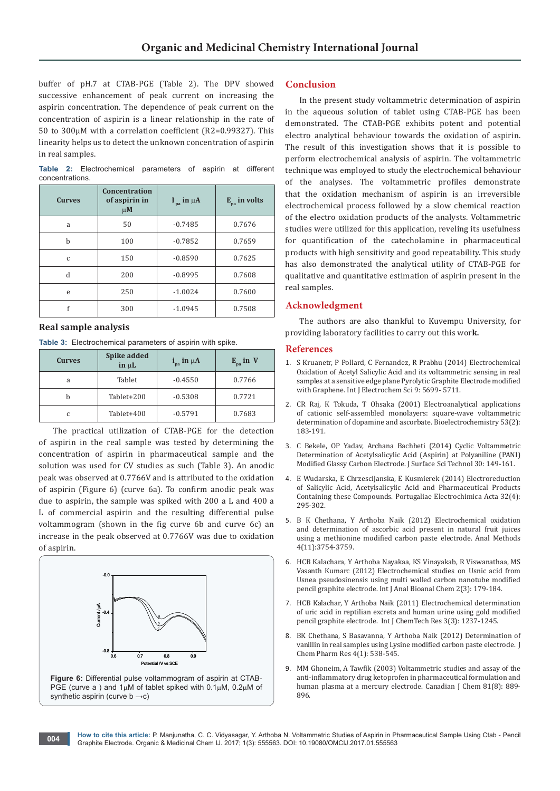**Conclusion**

real samples.

**References**

**Acknowledgment** 

buffer of pH.7 at CTAB-PGE (Table 2). The DPV showed successive enhancement of peak current on increasing the aspirin concentration. The dependence of peak current on the concentration of aspirin is a linear relationship in the rate of 50 to 300µM with a correlation coefficient (R2=0.99327). This linearity helps us to detect the unknown concentration of aspirin in real samples.

**Table 2:** Electrochemical parameters of aspirin at different concentrations.

| <b>Curves</b> | Concentration<br>of aspirin in<br>$\mu$ M | $I_{pa}$ in $\mu A$ | $E_{pa}$ in volts |
|---------------|-------------------------------------------|---------------------|-------------------|
| a             | 50                                        | $-0.7485$           | 0.7676            |
| b             | 100                                       | $-0.7852$           | 0.7659            |
| $\mathcal{C}$ | 150                                       | $-0.8590$           | 0.7625            |
| d             | 200                                       | $-0.8995$           | 0.7608            |
| e             | 250                                       | $-1.0024$           | 0.7600            |
|               | 300                                       | $-1.0945$           | 0.7508            |

#### **Real sample analysis**

| Table 3: Electrochemical parameters of aspirin with spike. |  |  |  |
|------------------------------------------------------------|--|--|--|
|                                                            |  |  |  |

| <b>Curves</b> | Spike added<br>$\mathbf{in} \mu$ L | $i_{pa}$ in $\mu$ A | $E_{pa}$ in V |
|---------------|------------------------------------|---------------------|---------------|
| a             | Tablet                             | $-0.4550$           | 0.7766        |
|               | Tablet+200                         | $-0.5308$           | 0.7721        |
|               | Tablet+400                         | $-0.5791$           | 0.7683        |

The practical utilization of CTAB-PGE for the detection of aspirin in the real sample was tested by determining the concentration of aspirin in pharmaceutical sample and the solution was used for CV studies as such (Table 3). An anodic peak was observed at 0.7766V and is attributed to the oxidation of aspirin (Figure 6) (curve 6a). To confirm anodic peak was due to aspirin, the sample was spiked with 200 a L and 400 a L of commercial aspirin and the resulting differential pulse voltammogram (shown in the fig curve 6b and curve 6c) an increase in the peak observed at 0.7766V was due to oxidation of aspirin.



#### [with Graphene. Int J Electrochem Sci 9: 5699- 5711.](http://www.electrochemsci.org/papers/vol9/91005699.pdf) 2. CR Raj, K Tokuda, [T Ohsaka \(2001\) Electroanalytical applications](https://www.ncbi.nlm.nih.gov/pubmed/11339306)  [of cationic self-assembled monolayers: square-wave voltammetric](https://www.ncbi.nlm.nih.gov/pubmed/11339306)  [determination of dopamine and ascorbate. Bioelectrochemistry 53\(2\):](https://www.ncbi.nlm.nih.gov/pubmed/11339306)  [183-191.](https://www.ncbi.nlm.nih.gov/pubmed/11339306)

The authors are also thankful to Kuvempu University, for

1. [S Kruanetr, P Pollard, C Fernandez, R Prabhu \(2014\) Electrochemical](http://www.electrochemsci.org/papers/vol9/91005699.pdf)  [Oxidation of Acetyl Salicylic Acid and its voltammetric sensing in real](http://www.electrochemsci.org/papers/vol9/91005699.pdf)  [samples at a sensitive edge plane Pyrolytic Graphite Electrode modified](http://www.electrochemsci.org/papers/vol9/91005699.pdf) 

providing laboratory facilities to carry out this wor**k.**

In the present study voltammetric determination of aspirin in the aqueous solution of tablet using CTAB-PGE has been demonstrated. The CTAB-PGE exhibits potent and potential electro analytical behaviour towards the oxidation of aspirin. The result of this investigation shows that it is possible to perform electrochemical analysis of aspirin. The voltammetric technique was employed to study the electrochemical behaviour of the analyses. The voltammetric profiles demonstrate that the oxidation mechanism of aspirin is an irreversible electrochemical process followed by a slow chemical reaction of the electro oxidation products of the analysts. Voltammetric studies were utilized for this application, reveling its usefulness for quantification of the catecholamine in pharmaceutical products with high sensitivity and good repeatability. This study has also demonstrated the analytical utility of CTAB-PGE for qualitative and quantitative estimation of aspirin present in the

- 3. [C Bekele, OP Yadav, Archana Bachheti \(2014\) Cyclic Voltammetric](http://www.issstindian.org/pubpdf/voiume30_A/art-4.pdf)  [Determination of Acetylsalicylic Acid \(Aspirin\) at Polyaniline \(PANI\)](http://www.issstindian.org/pubpdf/voiume30_A/art-4.pdf)  [Modified Glassy Carbon Electrode. J Surface Sci Technol 30: 149-161.](http://www.issstindian.org/pubpdf/voiume30_A/art-4.pdf)
- 4. [E Wudarska, E Chrzescijanska, E Kusmierek \(2014\) Electroreduction](https://www.researchgate.net/publication/273178315_Electroreduction_of_Salicylic_Acid_Acetylsalicylic_Acid_and_Pharmaceutical_Products_Containing_these_Compounds)  [of Salicylic Acid, Acetylsalicylic Acid and Pharmaceutical Products](https://www.researchgate.net/publication/273178315_Electroreduction_of_Salicylic_Acid_Acetylsalicylic_Acid_and_Pharmaceutical_Products_Containing_these_Compounds)  [Containing these Compounds. Portugaliae Electrochimica Acta 32\(4\):](https://www.researchgate.net/publication/273178315_Electroreduction_of_Salicylic_Acid_Acetylsalicylic_Acid_and_Pharmaceutical_Products_Containing_these_Compounds)  [295-302.](https://www.researchgate.net/publication/273178315_Electroreduction_of_Salicylic_Acid_Acetylsalicylic_Acid_and_Pharmaceutical_Products_Containing_these_Compounds)
- 5. B K Chethana, Y Arthoba Naik (2012) Electrochemical oxidation and determination of ascorbic acid present in natural fruit juices using a methionine modified carbon paste electrode. Anal Methods 4(11):3754-3759.
- 6. [HCB Kalachara, Y Arthoba Nayakaa, KS Vinayakab, R Viswanathaa, MS](https://urpjournals.com/tocjnls/6_12v2i3_3.pdf)  [Vasanth Kumarc \(2012\) Electrochemical studies on Usnic acid from](https://urpjournals.com/tocjnls/6_12v2i3_3.pdf)  [Usnea pseudosinensis using multi walled carbon nanotube modified](https://urpjournals.com/tocjnls/6_12v2i3_3.pdf)  [pencil graphite electrode. Int J Anal Bioanal Chem 2\(3\): 179-184.](https://urpjournals.com/tocjnls/6_12v2i3_3.pdf)
- 7. [HCB Kalachar, Y Arthoba Naik \(2011\) Electrochemical determination](http://sphinxsai.com/Vol.3No.3/Chem/pdf/CT=37(1237-1245)JS11.pdf)  [of uric acid in reptilian excreta and human urine using gold modified](http://sphinxsai.com/Vol.3No.3/Chem/pdf/CT=37(1237-1245)JS11.pdf)  [pencil graphite electrode. Int J ChemTech Res 3\(3\): 1237-1245.](http://sphinxsai.com/Vol.3No.3/Chem/pdf/CT=37(1237-1245)JS11.pdf)
- 8. [BK Chethana, S Basavanna, Y Arthoba Naik \(2012\) Determination of](http://www.jocpr.com/articles/determination-of-vanillin-in-real-samples-usinglysine-modified-carbon-paste-electrode.pdf)  [vanillin in real samples using Lysine modified carbon paste electrode. J](http://www.jocpr.com/articles/determination-of-vanillin-in-real-samples-usinglysine-modified-carbon-paste-electrode.pdf)  [Chem Pharm Res 4\(1\): 538-545.](http://www.jocpr.com/articles/determination-of-vanillin-in-real-samples-usinglysine-modified-carbon-paste-electrode.pdf)
- 9. MM Ghoneim, A Tawfik (2003) Voltammetric studies and assay of the anti-inflammatory drug ketoprofen in pharmaceutical formulation and human plasma at a mercury electrode. Canadian J Chem 81(8): 889- 896.

**How to cite this article:** P. Manjunatha, C. C. Vidyasagar, Y. Arthoba N. Voltammetric Studies of Aspirin in Pharmaceutical Sample Using Ctab - Pencil Graphite Electrode. Organic & Medicinal Chem IJ. 2017; 1(3): 555563. DOI: [10.19080/OMCIJ.2017.01.555563](http://dx.doi.org/10.19080/omcij.2017.01.555563
) **<sup>004</sup>**